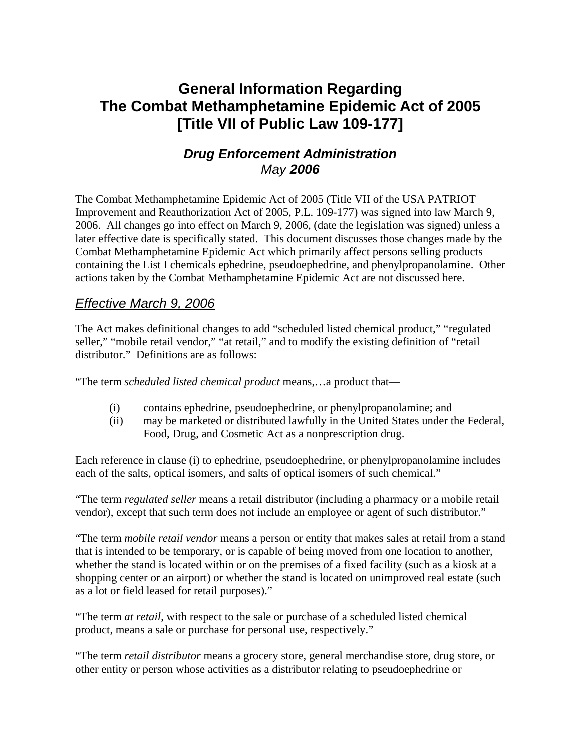# **General Information Regarding The Combat Methamphetamine Epidemic Act of 2005 [Title VII of Public Law 109-177]**

# *Drug Enforcement Administration May 2006*

The Combat Methamphetamine Epidemic Act of 2005 (Title VII of the USA PATRIOT Improvement and Reauthorization Act of 2005, P.L. 109-177) was signed into law March 9, 2006. All changes go into effect on March 9, 2006, (date the legislation was signed) unless a later effective date is specifically stated. This document discusses those changes made by the Combat Methamphetamine Epidemic Act which primarily affect persons selling products containing the List I chemicals ephedrine, pseudoephedrine, and phenylpropanolamine. Other actions taken by the Combat Methamphetamine Epidemic Act are not discussed here.

### *Effective March 9, 2006*

The Act makes definitional changes to add "scheduled listed chemical product," "regulated seller," "mobile retail vendor," "at retail," and to modify the existing definition of "retail distributor." Definitions are as follows:

"The term *scheduled listed chemical product* means,…a product that—

- (i) contains ephedrine, pseudoephedrine, or phenylpropanolamine; and
- (ii) may be marketed or distributed lawfully in the United States under the Federal, Food, Drug, and Cosmetic Act as a nonprescription drug.

Each reference in clause (i) to ephedrine, pseudoephedrine, or phenylpropanolamine includes each of the salts, optical isomers, and salts of optical isomers of such chemical."

"The term *regulated seller* means a retail distributor (including a pharmacy or a mobile retail vendor), except that such term does not include an employee or agent of such distributor."

"The term *mobile retail vendor* means a person or entity that makes sales at retail from a stand that is intended to be temporary, or is capable of being moved from one location to another, whether the stand is located within or on the premises of a fixed facility (such as a kiosk at a shopping center or an airport) or whether the stand is located on unimproved real estate (such as a lot or field leased for retail purposes)."

"The term *at retail*, with respect to the sale or purchase of a scheduled listed chemical product, means a sale or purchase for personal use, respectively."

"The term *retail distributor* means a grocery store, general merchandise store, drug store, or other entity or person whose activities as a distributor relating to pseudoephedrine or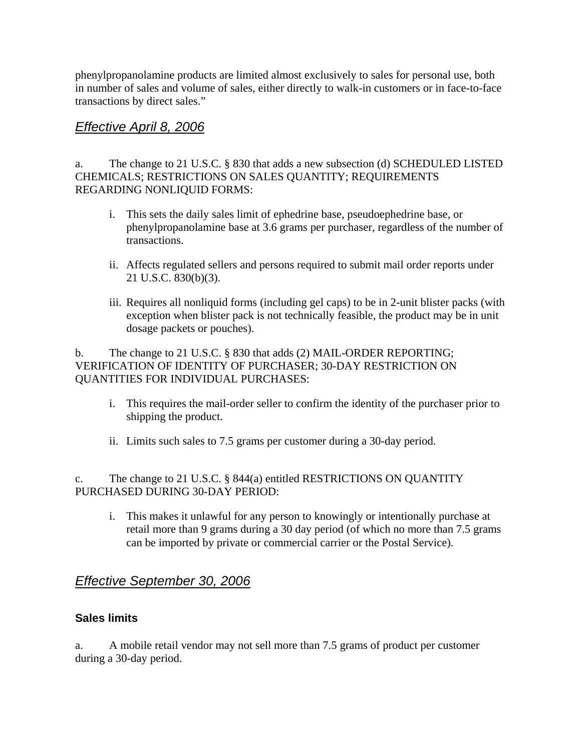phenylpropanolamine products are limited almost exclusively to sales for personal use, both in number of sales and volume of sales, either directly to walk-in customers or in face-to-face transactions by direct sales."

### *Effective April 8, 2006*

a. The change to 21 U.S.C. § 830 that adds a new subsection (d) SCHEDULED LISTED CHEMICALS; RESTRICTIONS ON SALES QUANTITY; REQUIREMENTS REGARDING NONLIQUID FORMS:

- i. This sets the daily sales limit of ephedrine base, pseudoephedrine base, or phenylpropanolamine base at 3.6 grams per purchaser, regardless of the number of transactions.
- ii. Affects regulated sellers and persons required to submit mail order reports under 21 U.S.C. 830(b)(3).
- iii. Requires all nonliquid forms (including gel caps) to be in 2-unit blister packs (with exception when blister pack is not technically feasible, the product may be in unit dosage packets or pouches).

b. The change to 21 U.S.C. § 830 that adds (2) MAIL-ORDER REPORTING; VERIFICATION OF IDENTITY OF PURCHASER; 30-DAY RESTRICTION ON QUANTITIES FOR INDIVIDUAL PURCHASES:

- i. This requires the mail-order seller to confirm the identity of the purchaser prior to shipping the product.
- ii. Limits such sales to 7.5 grams per customer during a 30-day period.

### c. The change to 21 U.S.C. § 844(a) entitled RESTRICTIONS ON QUANTITY PURCHASED DURING 30-DAY PERIOD:

i. This makes it unlawful for any person to knowingly or intentionally purchase at retail more than 9 grams during a 30 day period (of which no more than 7.5 grams can be imported by private or commercial carrier or the Postal Service).

# *Effective September 30, 2006*

### **Sales limits**

a. A mobile retail vendor may not sell more than 7.5 grams of product per customer during a 30-day period.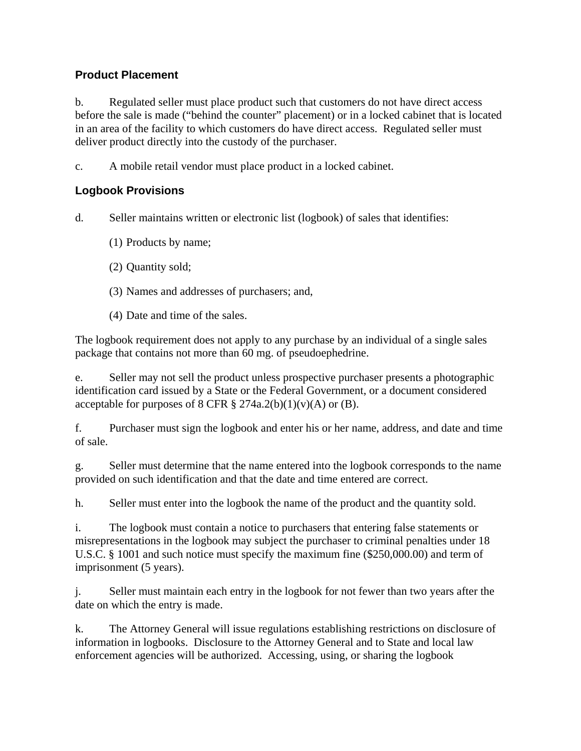### **Product Placement**

b. Regulated seller must place product such that customers do not have direct access before the sale is made ("behind the counter" placement) or in a locked cabinet that is located in an area of the facility to which customers do have direct access. Regulated seller must deliver product directly into the custody of the purchaser.

c. A mobile retail vendor must place product in a locked cabinet.

### **Logbook Provisions**

- d. Seller maintains written or electronic list (logbook) of sales that identifies:
	- (1) Products by name;
	- (2) Quantity sold;
	- (3) Names and addresses of purchasers; and,
	- (4) Date and time of the sales.

The logbook requirement does not apply to any purchase by an individual of a single sales package that contains not more than 60 mg. of pseudoephedrine.

e. Seller may not sell the product unless prospective purchaser presents a photographic identification card issued by a State or the Federal Government, or a document considered acceptable for purposes of 8 CFR  $\S 274a.2(b)(1)(v)(A)$  or (B).

f. Purchaser must sign the logbook and enter his or her name, address, and date and time of sale.

g. Seller must determine that the name entered into the logbook corresponds to the name provided on such identification and that the date and time entered are correct.

h. Seller must enter into the logbook the name of the product and the quantity sold.

i. The logbook must contain a notice to purchasers that entering false statements or misrepresentations in the logbook may subject the purchaser to criminal penalties under 18 U.S.C. § 1001 and such notice must specify the maximum fine (\$250,000.00) and term of imprisonment (5 years).

j. Seller must maintain each entry in the logbook for not fewer than two years after the date on which the entry is made.

k. The Attorney General will issue regulations establishing restrictions on disclosure of information in logbooks. Disclosure to the Attorney General and to State and local law enforcement agencies will be authorized. Accessing, using, or sharing the logbook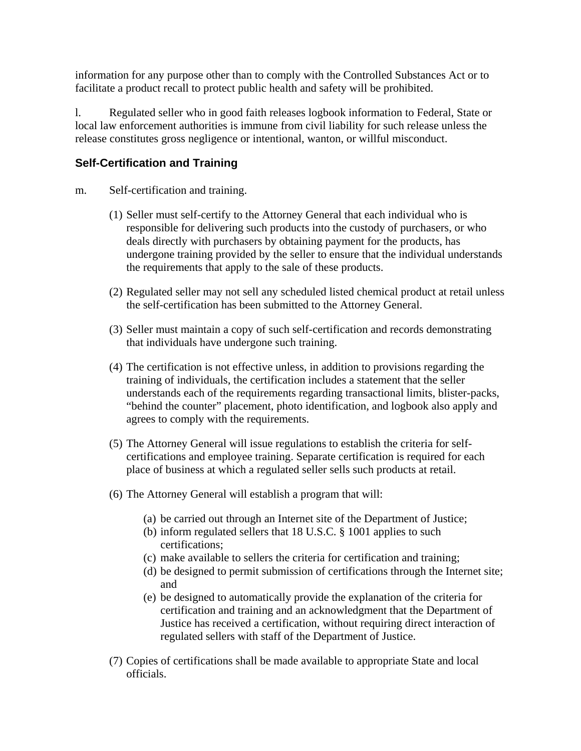information for any purpose other than to comply with the Controlled Substances Act or to facilitate a product recall to protect public health and safety will be prohibited.

l. Regulated seller who in good faith releases logbook information to Federal, State or local law enforcement authorities is immune from civil liability for such release unless the release constitutes gross negligence or intentional, wanton, or willful misconduct.

### **Self-Certification and Training**

#### m. Self-certification and training.

- (1) Seller must self-certify to the Attorney General that each individual who is responsible for delivering such products into the custody of purchasers, or who deals directly with purchasers by obtaining payment for the products, has undergone training provided by the seller to ensure that the individual understands the requirements that apply to the sale of these products.
- (2) Regulated seller may not sell any scheduled listed chemical product at retail unless the self-certification has been submitted to the Attorney General.
- (3) Seller must maintain a copy of such self-certification and records demonstrating that individuals have undergone such training.
- (4) The certification is not effective unless, in addition to provisions regarding the training of individuals, the certification includes a statement that the seller understands each of the requirements regarding transactional limits, blister-packs, "behind the counter" placement, photo identification, and logbook also apply and agrees to comply with the requirements.
- (5) The Attorney General will issue regulations to establish the criteria for selfcertifications and employee training. Separate certification is required for each place of business at which a regulated seller sells such products at retail.
- (6) The Attorney General will establish a program that will:
	- (a) be carried out through an Internet site of the Department of Justice;
	- (b) inform regulated sellers that 18 U.S.C. § 1001 applies to such certifications;
	- (c) make available to sellers the criteria for certification and training;
	- (d) be designed to permit submission of certifications through the Internet site; and
	- (e) be designed to automatically provide the explanation of the criteria for certification and training and an acknowledgment that the Department of Justice has received a certification, without requiring direct interaction of regulated sellers with staff of the Department of Justice.
- (7) Copies of certifications shall be made available to appropriate State and local officials.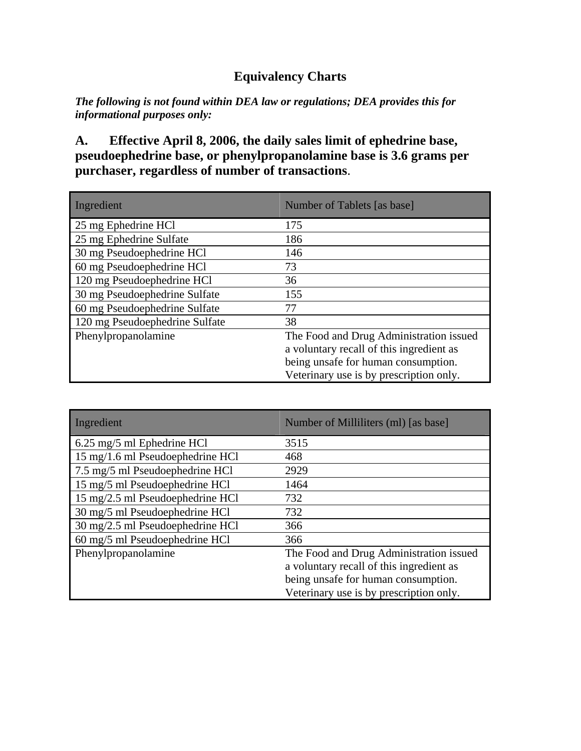# **Equivalency Charts**

*The following is not found within DEA law or regulations; DEA provides this for informational purposes only:* 

### **A. Effective April 8, 2006, the daily sales limit of ephedrine base, pseudoephedrine base, or phenylpropanolamine base is 3.6 grams per purchaser, regardless of number of transactions**.

| Ingredient                     | Number of Tablets [as base]              |
|--------------------------------|------------------------------------------|
| 25 mg Ephedrine HCl            | 175                                      |
| 25 mg Ephedrine Sulfate        | 186                                      |
| 30 mg Pseudoephedrine HCl      | 146                                      |
| 60 mg Pseudoephedrine HCl      | 73                                       |
| 120 mg Pseudoephedrine HCl     | 36                                       |
| 30 mg Pseudoephedrine Sulfate  | 155                                      |
| 60 mg Pseudoephedrine Sulfate  | 77                                       |
| 120 mg Pseudoephedrine Sulfate | 38                                       |
| Phenylpropanolamine            | The Food and Drug Administration issued  |
|                                | a voluntary recall of this ingredient as |
|                                | being unsafe for human consumption.      |
|                                | Veterinary use is by prescription only.  |

| Ingredient                       | Number of Milliliters (ml) [as base]     |
|----------------------------------|------------------------------------------|
| 6.25 mg/5 ml Ephedrine HCl       | 3515                                     |
| 15 mg/1.6 ml Pseudoephedrine HCl | 468                                      |
| 7.5 mg/5 ml Pseudoephedrine HCl  | 2929                                     |
| 15 mg/5 ml Pseudoephedrine HCl   | 1464                                     |
| 15 mg/2.5 ml Pseudoephedrine HCl | 732                                      |
| 30 mg/5 ml Pseudoephedrine HCl   | 732                                      |
| 30 mg/2.5 ml Pseudoephedrine HCl | 366                                      |
| 60 mg/5 ml Pseudoephedrine HCl   | 366                                      |
| Phenylpropanolamine              | The Food and Drug Administration issued  |
|                                  | a voluntary recall of this ingredient as |
|                                  | being unsafe for human consumption.      |
|                                  | Veterinary use is by prescription only.  |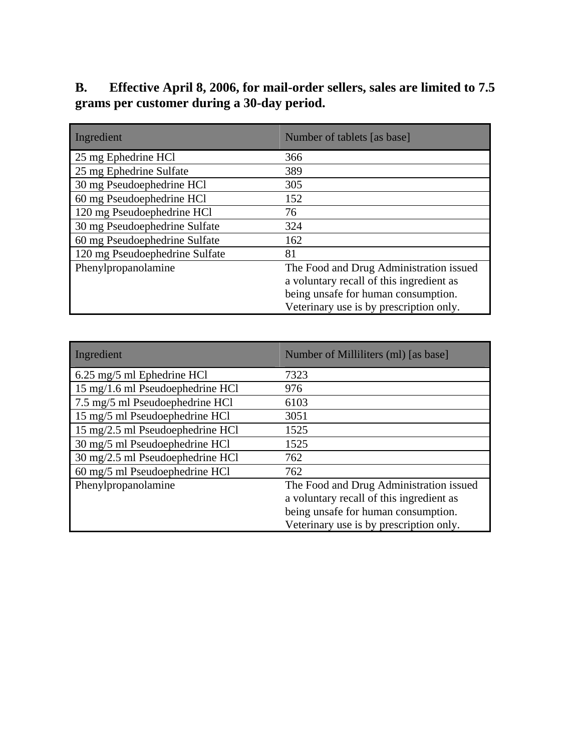# **B. Effective April 8, 2006, for mail-order sellers, sales are limited to 7.5 grams per customer during a 30-day period.**

| Ingredient                     | Number of tablets [as base]              |
|--------------------------------|------------------------------------------|
| 25 mg Ephedrine HCl            | 366                                      |
| 25 mg Ephedrine Sulfate        | 389                                      |
| 30 mg Pseudoephedrine HCl      | 305                                      |
| 60 mg Pseudoephedrine HCl      | 152                                      |
| 120 mg Pseudoephedrine HCl     | 76                                       |
| 30 mg Pseudoephedrine Sulfate  | 324                                      |
| 60 mg Pseudoephedrine Sulfate  | 162                                      |
| 120 mg Pseudoephedrine Sulfate | 81                                       |
| Phenylpropanolamine            | The Food and Drug Administration issued  |
|                                | a voluntary recall of this ingredient as |
|                                | being unsafe for human consumption.      |
|                                | Veterinary use is by prescription only.  |

| Ingredient                       | Number of Milliliters (ml) [as base]     |
|----------------------------------|------------------------------------------|
| 6.25 mg/5 ml Ephedrine HCl       | 7323                                     |
| 15 mg/1.6 ml Pseudoephedrine HCl | 976                                      |
| 7.5 mg/5 ml Pseudoephedrine HCl  | 6103                                     |
| 15 mg/5 ml Pseudoephedrine HCl   | 3051                                     |
| 15 mg/2.5 ml Pseudoephedrine HCl | 1525                                     |
| 30 mg/5 ml Pseudoephedrine HCl   | 1525                                     |
| 30 mg/2.5 ml Pseudoephedrine HCl | 762                                      |
| 60 mg/5 ml Pseudoephedrine HCl   | 762                                      |
| Phenylpropanolamine              | The Food and Drug Administration issued  |
|                                  | a voluntary recall of this ingredient as |
|                                  | being unsafe for human consumption.      |
|                                  | Veterinary use is by prescription only.  |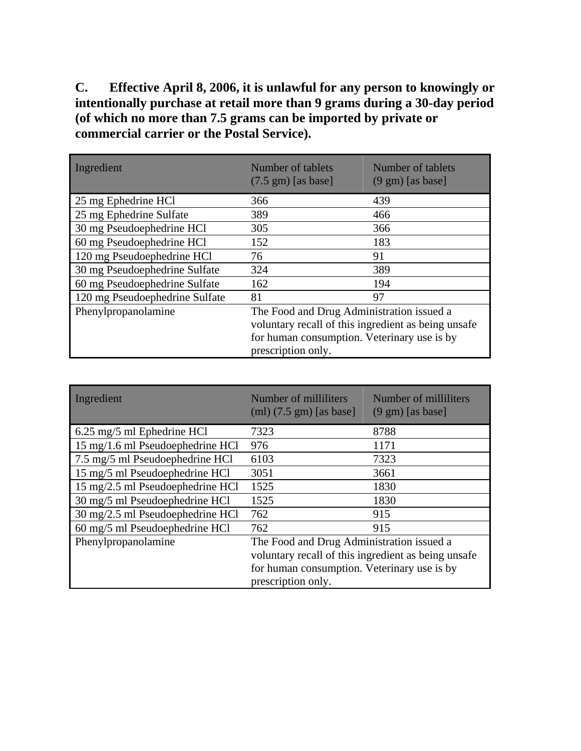**C. Effective April 8, 2006, it is unlawful for any person to knowingly or intentionally purchase at retail more than 9 grams during a 30-day period (of which no more than 7.5 grams can be imported by private or commercial carrier or the Postal Service).** 

| Ingredient                     | Number of tablets<br>$(7.5 \text{ gm})$ [as base]   | Number of tablets<br>$(9 \text{ gm})$ [as base] |
|--------------------------------|-----------------------------------------------------|-------------------------------------------------|
| 25 mg Ephedrine HCl            | 366                                                 | 439                                             |
| 25 mg Ephedrine Sulfate        | 389                                                 | 466                                             |
| 30 mg Pseudoephedrine HCl      | 305                                                 | 366                                             |
| 60 mg Pseudoephedrine HCl      | 152                                                 | 183                                             |
| 120 mg Pseudoephedrine HCl     | 76                                                  | 91                                              |
| 30 mg Pseudoephedrine Sulfate  | 324                                                 | 389                                             |
| 60 mg Pseudoephedrine Sulfate  | 162                                                 | 194                                             |
| 120 mg Pseudoephedrine Sulfate | 81                                                  | 97                                              |
| Phenylpropanolamine            | The Food and Drug Administration issued a           |                                                 |
|                                | voluntary recall of this ingredient as being unsafe |                                                 |
|                                | for human consumption. Veterinary use is by         |                                                 |
|                                | prescription only.                                  |                                                 |

| Ingredient                       | Number of milliliters<br>$(ml)$ (7.5 gm) [as base]                                                                                                                    | Number of milliliters<br>$(9 \text{ gm})$ [as base] |
|----------------------------------|-----------------------------------------------------------------------------------------------------------------------------------------------------------------------|-----------------------------------------------------|
| 6.25 mg/5 ml Ephedrine HCl       | 7323                                                                                                                                                                  | 8788                                                |
| 15 mg/1.6 ml Pseudoephedrine HCl | 976                                                                                                                                                                   | 1171                                                |
| 7.5 mg/5 ml Pseudoephedrine HCl  | 6103                                                                                                                                                                  | 7323                                                |
| 15 mg/5 ml Pseudoephedrine HCl   | 3051                                                                                                                                                                  | 3661                                                |
| 15 mg/2.5 ml Pseudoephedrine HCl | 1525                                                                                                                                                                  | 1830                                                |
| 30 mg/5 ml Pseudoephedrine HCl   | 1525                                                                                                                                                                  | 1830                                                |
| 30 mg/2.5 ml Pseudoephedrine HCl | 762                                                                                                                                                                   | 915                                                 |
| 60 mg/5 ml Pseudoephedrine HCl   | 762                                                                                                                                                                   | 915                                                 |
| Phenylpropanolamine              | The Food and Drug Administration issued a<br>voluntary recall of this ingredient as being unsafe<br>for human consumption. Veterinary use is by<br>prescription only. |                                                     |